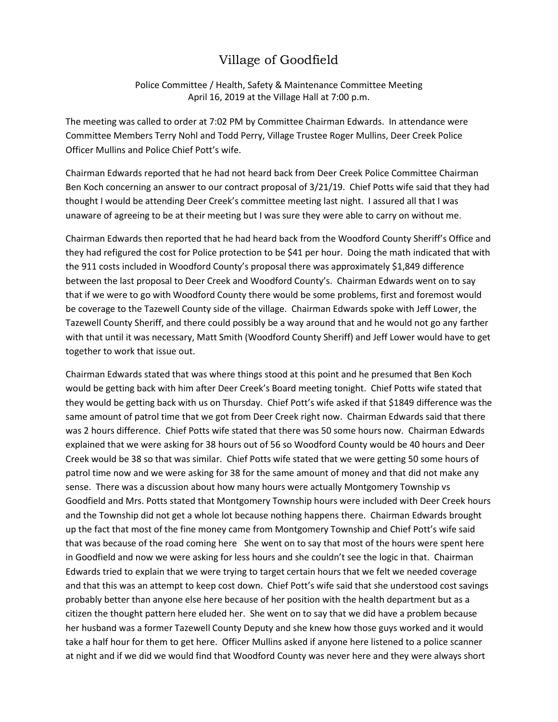## Village of Goodfield

Police Committee / Health, Safety & Maintenance Committee Meeting April 16, 2019 at the Village Hall at 7:00 p.m.

The meeting was called to order at 7:02 PM by Committee Chairman Edwards. In attendance were Committee Members Terry Nohl and Todd Perry, Village Trustee Roger Mullins, Deer Creek Police Officer Mullins and Police Chief Pott's wife.

Chairman Edwards reported that he had not heard back from Deer Creek Police Committee Chairman Ben Koch concerning an answer to our contract proposal of 3/21/19. Chief Potts wife said that they had thought I would be attending Deer Creek's committee meeting last night. I assured all that I was unaware of agreeing to be at their meeting but I was sure they were able to carry on without me.

Chairman Edwards then reported that he had heard back from the Woodford County Sheriff's Office and they had refigured the cost for Police protection to be \$41 per hour. Doing the math indicated that with the 911 costs included in Woodford County's proposal there was approximately \$1,849 difference between the last proposal to Deer Creek and Woodford County's. Chairman Edwards went on to say that if we were to go with Woodford County there would be some problems, first and foremost would be coverage to the Tazewell County side of the village. Chairman Edwards spoke with Jeff Lower, the Tazewell County Sheriff, and there could possibly be a way around that and he would not go any farther with that until it was necessary, Matt Smith (Woodford County Sheriff) and Jeff Lower would have to get together to work that issue out.

Chairman Edwards stated that was where things stood at this point and he presumed that Ben Koch would be getting back with him after Deer Creek's Board meeting tonight. Chief Potts wife stated that they would be getting back with us on Thursday. Chief Pott's wife asked if that \$1849 difference was the same amount of patrol time that we got from Deer Creek right now. Chairman Edwards said that there was 2 hours difference. Chief Potts wife stated that there was 50 some hours now. Chairman Edwards explained that we were asking for 38 hours out of 56 so Woodford County would be 40 hours and Deer Creek would be 38 so that was similar. Chief Potts wife stated that we were getting 50 some hours of patrol time now and we were asking for 38 for the same amount of money and that did not make any sense. There was a discussion about how many hours were actually Montgomery Township vs Goodfield and Mrs. Potts stated that Montgomery Township hours were included with Deer Creek hours and the Township did not get a whole lot because nothing happens there. Chairman Edwards brought up the fact that most of the fine money came from Montgomery Township and Chief Pott's wife said that was because of the road coming here. She went on to say that most of the hours were spent here in Goodfield and now we were asking for less hours and she couldn't see the logic in that. Chairman Edwards tried to explain that we were trying to target certain hours that we felt we needed coverage and that this was an attempt to keep cost down. Chief Pott's wife said that she understood cost savings probably better than anyone else here because of her position with the health department but as a citizen the thought pattern here eluded her. She went on to say that we did have a problem because her husband was a former Tazewell County Deputy and she knew how those guys worked and it would take a half hour for them to get here. Officer Mullins asked if anyone here listened to a police scanner at night and if we did we would find that Woodford County was never here and they were always short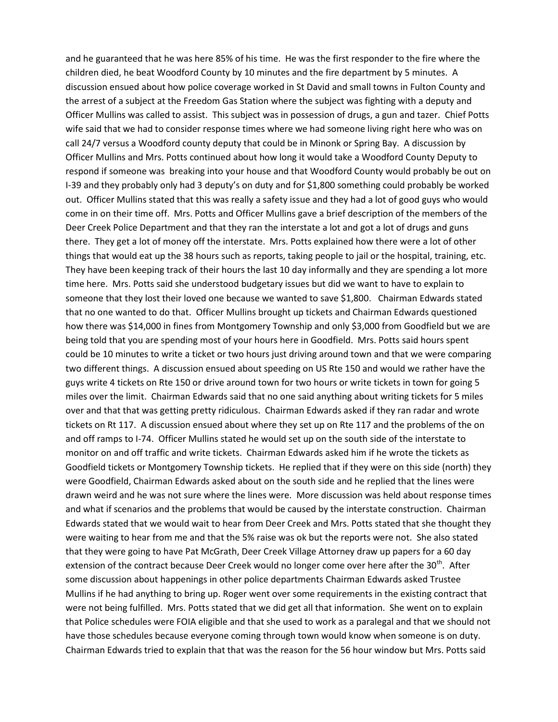and he guaranteed that he was here 85% of his time. He was the first responder to the fire where the children died, he beat Woodford County by 10 minutes and the fire department by 5 minutes. A discussion ensued about how police coverage worked in St David and small towns in Fulton County and the arrest of a subject at the Freedom Gas Station where the subject was fighting with a deputy and Officer Mullins was called to assist. This subject was in possession of drugs, a gun and tazer. Chief Potts wife said that we had to consider response times where we had someone living right here who was on call 24/7 versus a Woodford county deputy that could be in Minonk or Spring Bay. A discussion by Officer Mullins and Mrs. Potts continued about how long it would take a Woodford County Deputy to respond if someone was breaking into your house and that Woodford County would probably be out on I-39 and they probably only had 3 deputy's on duty and for \$1,800 something could probably be worked out. Officer Mullins stated that this was really a safety issue and they had a lot of good guys who would come in on their time off. Mrs. Potts and Officer Mullins gave a brief description of the members of the Deer Creek Police Department and that they ran the interstate a lot and got a lot of drugs and guns there. They get a lot of money off the interstate. Mrs. Potts explained how there were a lot of other things that would eat up the 38 hours such as reports, taking people to jail or the hospital, training, etc. They have been keeping track of their hours the last 10 day informally and they are spending a lot more time here. Mrs. Potts said she understood budgetary issues but did we want to have to explain to someone that they lost their loved one because we wanted to save \$1,800. Chairman Edwards stated that no one wanted to do that. Officer Mullins brought up tickets and Chairman Edwards questioned how there was \$14,000 in fines from Montgomery Township and only \$3,000 from Goodfield but we are being told that you are spending most of your hours here in Goodfield. Mrs. Potts said hours spent could be 10 minutes to write a ticket or two hours just driving around town and that we were comparing two different things. A discussion ensued about speeding on US Rte 150 and would we rather have the guys write 4 tickets on Rte 150 or drive around town for two hours or write tickets in town for going 5 miles over the limit. Chairman Edwards said that no one said anything about writing tickets for 5 miles over and that that was getting pretty ridiculous. Chairman Edwards asked if they ran radar and wrote tickets on Rt 117. A discussion ensued about where they set up on Rte 117 and the problems of the on and off ramps to I-74. Officer Mullins stated he would set up on the south side of the interstate to monitor on and off traffic and write tickets. Chairman Edwards asked him if he wrote the tickets as Goodfield tickets or Montgomery Township tickets. He replied that if they were on this side (north) they were Goodfield, Chairman Edwards asked about on the south side and he replied that the lines were drawn weird and he was not sure where the lines were. More discussion was held about response times and what if scenarios and the problems that would be caused by the interstate construction. Chairman Edwards stated that we would wait to hear from Deer Creek and Mrs. Potts stated that she thought they were waiting to hear from me and that the 5% raise was ok but the reports were not. She also stated that they were going to have Pat McGrath, Deer Creek Village Attorney draw up papers for a 60 day extension of the contract because Deer Creek would no longer come over here after the 30<sup>th</sup>. After some discussion about happenings in other police departments Chairman Edwards asked Trustee Mullins if he had anything to bring up. Roger went over some requirements in the existing contract that were not being fulfilled. Mrs. Potts stated that we did get all that information. She went on to explain that Police schedules were FOIA eligible and that she used to work as a paralegal and that we should not have those schedules because everyone coming through town would know when someone is on duty. Chairman Edwards tried to explain that that was the reason for the 56 hour window but Mrs. Potts said